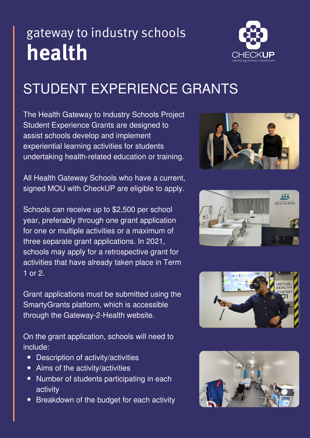## gateway to industry schools health



## STUDENT EXPERIENCE GRANTS

The Health Gateway to Industry Schools Project Student Experience Grants are designed to assist schools develop and implement experiential learning activities for students undertaking health-related education or training.

All Health Gateway Schools who have a current, signed MOU with CheckUP are eligible to apply.

Schools can receive up to \$2,500 per school year, preferably through one grant application for one or multiple activities or a maximum of three separate grant applications. In 2021, schools may apply for a retrospective grant for activities that have already taken place in Term 1 or 2.

Grant applications must be submitted using the SmartyGrants platform, which is accessible through the Gateway-2-Health website.

On the grant application, schools will need to include:

- Description of activity/activities
- Aims of the activity/activities
- Number of students participating in each activity
- Breakdown of the budget for each activity